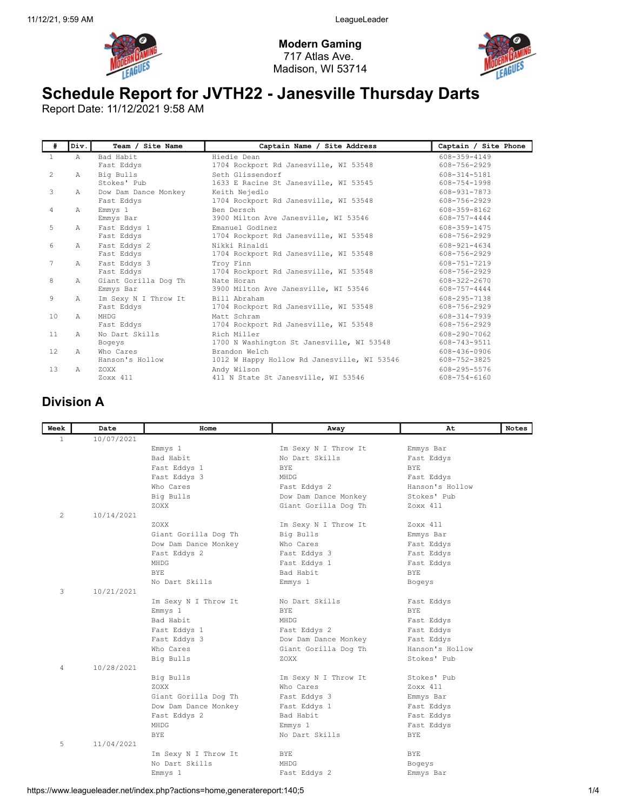

Modern Gaming 717 Atlas Ave. Madison, WI 53714



## Schedule Report for JVTH22 - Janesville Thursday Darts

Report Date: 11/12/2021 9:58 AM

| #              | Div.          | Team / Site Name                   | Captain Name / Site Address                                  | Captain / Site Phone               |
|----------------|---------------|------------------------------------|--------------------------------------------------------------|------------------------------------|
| $\mathbf{1}$   | A             | Bad Habit<br>Fast Eddys            | Hiedie Dean<br>1704 Rockport Rd Janesville, WI 53548         | $608 - 359 - 4149$<br>608-756-2929 |
| $\overline{2}$ | Α             | Big Bulls<br>Stokes' Pub           | Seth Glissendorf                                             | 608-314-5181<br>608-754-1998       |
| 3              | Α             | Dow Dam Dance Monkey               | 1633 E Racine St Janesville, WI 53545<br>Keith Nejedlo       | 608-931-7873                       |
|                |               | Fast Eddys                         | 1704 Rockport Rd Janesville, WI 53548                        | 608-756-2929                       |
| 4              | $\mathbb{A}$  | Emmys 1<br>Emmys Bar               | Ben Dersch<br>3900 Milton Ave Janesville, WI 53546           | 608-359-8162<br>608-757-4444       |
| 5              | $\mathbb{A}$  | Fast Eddys 1<br>Fast Eddys         | Emanuel Godinez<br>1704 Rockport Rd Janesville, WI 53548     | 608-359-1475<br>608-756-2929       |
| 6              | $\mathbb{A}$  | Fast Eddys 2<br>Fast Eddys         | Nikki Rinaldi<br>1704 Rockport Rd Janesville, WI 53548       | $608 - 921 - 4634$<br>608-756-2929 |
| 7              | $\mathbb{A}$  | Fast Eddys 3<br>Fast Eddys         | Troy Finn<br>1704 Rockport Rd Janesville, WI 53548           | 608-751-7219<br>608-756-2929       |
| 8              | $\mathbb{A}$  | Giant Gorilla Dog Th<br>Emmys Bar  | Nate Horan<br>3900 Milton Ave Janesville, WI 53546           | $608 - 322 - 2670$<br>608-757-4444 |
| 9              | $\mathbb{A}$  | Im Sexy N I Throw It<br>Fast Eddys | Bill Abraham<br>1704 Rockport Rd Janesville, WI 53548        | 608-295-7138<br>608-756-2929       |
| 10             | $\mathbb{A}$  | MHDG<br>Fast Eddys                 | Matt Schram<br>1704 Rockport Rd Janesville, WI 53548         | 608-314-7939<br>608-756-2929       |
| 11             | $\lambda$     | No Dart Skills<br>Bogeys           | Rich Miller<br>1700 N Washington St Janesville, WI 53548     | 608-290-7062<br>608-743-9511       |
| 12             | $\mathcal{A}$ | Who Cares<br>Hanson's Hollow       | Brandon Welch<br>1012 W Happy Hollow Rd Janesville, WI 53546 | 608-436-0906<br>608-752-3825       |
| 1.3            | $\mathbb{A}$  | ZOXX<br>Zoxx 411                   | Andy Wilson<br>411 N State St Janesville, WI 53546           | 608-295-5576<br>608-754-6160       |

## Division A

| Week         | Date       | Home                 | Away                 | At              | Notes |
|--------------|------------|----------------------|----------------------|-----------------|-------|
| $\mathbf{1}$ | 10/07/2021 |                      |                      |                 |       |
|              |            | Emmys 1              | Im Sexy N I Throw It | Emmys Bar       |       |
|              |            | Bad Habit            | No Dart Skills       | Fast Eddys      |       |
|              |            | Fast Eddys 1         | BYE.                 | BYE.            |       |
|              |            | Fast Eddys 3         | MHDG                 | Fast Eddys      |       |
|              |            | Who Cares            | Fast Eddys 2         | Hanson's Hollow |       |
|              |            | Big Bulls            | Dow Dam Dance Monkey | Stokes' Pub     |       |
|              |            | ZOXX                 | Giant Gorilla Dog Th | Zoxx 411        |       |
| 2            | 10/14/2021 |                      |                      |                 |       |
|              |            | ZOXX                 | Im Sexy N I Throw It | Zoxx 411        |       |
|              |            | Giant Gorilla Dog Th | Big Bulls            | Emmys Bar       |       |
|              |            | Dow Dam Dance Monkey | Who Cares            | Fast Eddys      |       |
|              |            | Fast Eddys 2         | Fast Eddys 3         | Fast Eddys      |       |
|              |            | MHDG                 | Fast Eddys 1         | Fast Eddys      |       |
|              |            | <b>BYE</b>           | Bad Habit            | <b>BYE</b>      |       |
|              |            | No Dart Skills       | Emmys 1              | Bogeys          |       |
| 3            | 10/21/2021 |                      |                      |                 |       |
|              |            | Im Sexy N I Throw It | No Dart Skills       | Fast Eddys      |       |
|              |            | Emmys 1              | <b>BYE</b>           | <b>BYE</b>      |       |
|              |            | Bad Habit            | MHDG                 | Fast Eddys      |       |
|              |            | Fast Eddys 1         | Fast Eddys 2         | Fast Eddys      |       |
|              |            | Fast Eddys 3         | Dow Dam Dance Monkey | Fast Eddys      |       |
|              |            | Who Cares            | Giant Gorilla Dog Th | Hanson's Hollow |       |
|              |            | Big Bulls            | ZOXX                 | Stokes' Pub     |       |
| 4            | 10/28/2021 |                      |                      |                 |       |
|              |            | Big Bulls            | Im Sexy N I Throw It | Stokes' Pub     |       |
|              |            | ZOXX                 | Who Cares            | Zoxx 411        |       |
|              |            | Giant Gorilla Dog Th | Fast Eddys 3         | Emmys Bar       |       |
|              |            | Dow Dam Dance Monkey | Fast Eddys 1         | Fast Eddys      |       |
|              |            | Fast Eddys 2         | Bad Habit            | Fast Eddys      |       |
|              |            | MHDG                 | Emmys 1              | Fast Eddys      |       |
|              |            | <b>BYE</b>           | No Dart Skills       | BYE             |       |
| 5            | 11/04/2021 |                      |                      |                 |       |
|              |            | Im Sexy N I Throw It | BYE                  | <b>BYE</b>      |       |
|              |            | No Dart Skills       | MHDG                 | Bogeys          |       |
|              |            | Emmys 1              | Fast Eddys 2         | Emmys Bar       |       |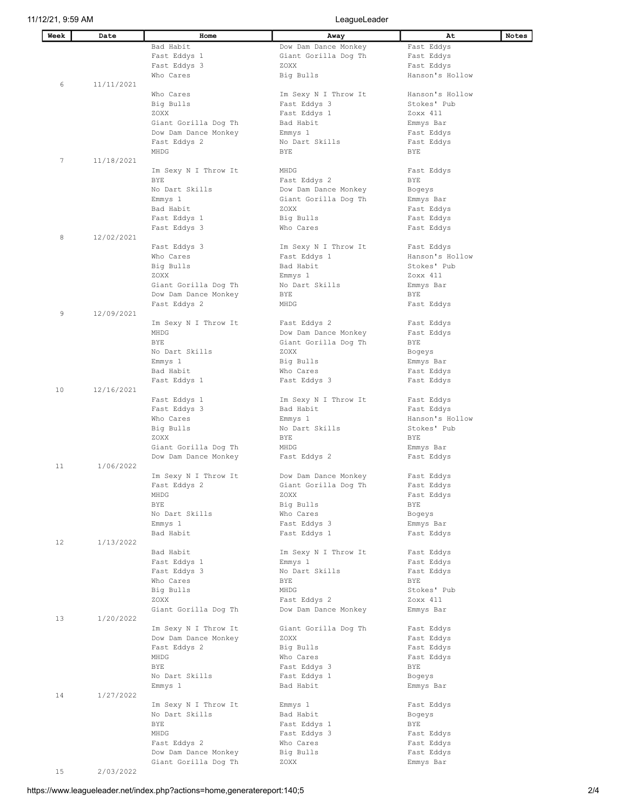## 11/12/21, 9:59 AM LeagueLeader

| Week | Date       | Home                 | Away                         | At                       | Notes |
|------|------------|----------------------|------------------------------|--------------------------|-------|
|      |            | Bad Habit            | Dow Dam Dance Monkey         | Fast Eddys               |       |
|      |            | Fast Eddys 1         | Giant Gorilla Dog Th         | Fast Eddys               |       |
|      |            | Fast Eddys 3         | ZOXX                         | Fast Eddys               |       |
|      |            | Who Cares            | Big Bulls                    | Hanson's Hollow          |       |
| 6    | 11/11/2021 |                      |                              |                          |       |
|      |            | Who Cares            | Im Sexy N I Throw It         | Hanson's Hollow          |       |
|      |            | Big Bulls            | Fast Eddys 3                 | Stokes' Pub              |       |
|      |            | ZOXX                 | Fast Eddys 1                 | Zoxx 411                 |       |
|      |            | Giant Gorilla Dog Th | Bad Habit                    | Emmys Bar                |       |
|      |            | Dow Dam Dance Monkey | Emmys 1                      | Fast Eddys               |       |
|      |            | Fast Eddys 2         | No Dart Skills               | Fast Eddys               |       |
|      |            | MHDG                 | <b>BYE</b>                   | BYE                      |       |
| 7    | 11/18/2021 |                      |                              |                          |       |
|      |            | Im Sexy N I Throw It | MHDG                         | Fast Eddys               |       |
|      |            | BYE                  | Fast Eddys 2                 | BYE                      |       |
|      |            | No Dart Skills       | Dow Dam Dance Monkey         | Bogeys                   |       |
|      |            | Emmys 1<br>Bad Habit | Giant Gorilla Dog Th<br>ZOXX | Emmys Bar                |       |
|      |            | Fast Eddys 1         | Big Bulls                    | Fast Eddys<br>Fast Eddys |       |
|      |            | Fast Eddys 3         | Who Cares                    | Fast Eddys               |       |
| 8    | 12/02/2021 |                      |                              |                          |       |
|      |            | Fast Eddys 3         | Im Sexy N I Throw It         | Fast Eddys               |       |
|      |            | Who Cares            | Fast Eddys 1                 | Hanson's Hollow          |       |
|      |            | Big Bulls            | Bad Habit                    | Stokes' Pub              |       |
|      |            | ZOXX                 | Emmys 1                      | Zoxx 411                 |       |
|      |            | Giant Gorilla Dog Th | No Dart Skills               | Emmys Bar                |       |
|      |            | Dow Dam Dance Monkey | BYE                          | BYE                      |       |
|      |            | Fast Eddys 2         | MHDG                         | Fast Eddys               |       |
| 9    | 12/09/2021 |                      |                              |                          |       |
|      |            | Im Sexy N I Throw It | Fast Eddys 2                 | Fast Eddys               |       |
|      |            | MHDG                 | Dow Dam Dance Monkey         | Fast Eddys               |       |
|      |            | <b>BYE</b>           | Giant Gorilla Dog Th         | BYE                      |       |
|      |            | No Dart Skills       | ZOXX                         | Bogeys                   |       |
|      |            | Emmys 1              | Big Bulls                    | Emmys Bar                |       |
|      |            | Bad Habit            | Who Cares                    | Fast Eddys               |       |
|      |            | Fast Eddys 1         | Fast Eddys 3                 | Fast Eddys               |       |
| 10   | 12/16/2021 |                      |                              |                          |       |
|      |            | Fast Eddys 1         | Im Sexy N I Throw It         | Fast Eddys               |       |
|      |            | Fast Eddys 3         | Bad Habit                    | Fast Eddys               |       |
|      |            | Who Cares            | Emmys 1                      | Hanson's Hollow          |       |
|      |            | Big Bulls            | No Dart Skills               | Stokes' Pub              |       |
|      |            | ZOXX                 | <b>BYE</b>                   | <b>BYE</b>               |       |
|      |            | Giant Gorilla Dog Th | MHDG                         | Emmys Bar                |       |
|      |            | Dow Dam Dance Monkey | Fast Eddys 2                 | Fast Eddys               |       |
| 11   | 1/06/2022  |                      |                              |                          |       |
|      |            | Im Sexy N I Throw It | Dow Dam Dance Monkey         | Fast Eddys               |       |
|      |            | Fast Eddys 2         | Giant Gorilla Dog Th         | Fast Eddys               |       |
|      |            | MHDG                 | ZOXX                         | Fast Eddys               |       |
|      |            | <b>BYE</b>           | Big Bulls                    | BYE                      |       |
|      |            | No Dart Skills       | Who Cares<br>Fast Eddys 3    | Bogeys                   |       |
|      |            | Emmys 1<br>Bad Habit | Fast Eddys 1                 | Emmys Bar                |       |
| 12   | 1/13/2022  |                      |                              | Fast Eddys               |       |
|      |            | Bad Habit            | Im Sexy N I Throw It         | Fast Eddys               |       |
|      |            | Fast Eddys 1         | Emmys 1                      | Fast Eddys               |       |
|      |            | Fast Eddys 3         | No Dart Skills               | Fast Eddys               |       |
|      |            | Who Cares            | <b>BYE</b>                   | BYE                      |       |
|      |            | Big Bulls            | MHDG                         | Stokes' Pub              |       |
|      |            | ZOXX                 | Fast Eddys 2                 | Zoxx 411                 |       |
|      |            | Giant Gorilla Dog Th | Dow Dam Dance Monkey         | Emmys Bar                |       |
| 13   | 1/20/2022  |                      |                              |                          |       |
|      |            | Im Sexy N I Throw It | Giant Gorilla Dog Th         | Fast Eddys               |       |
|      |            | Dow Dam Dance Monkey | ZOXX                         | Fast Eddys               |       |
|      |            | Fast Eddys 2         | Big Bulls                    | Fast Eddys               |       |
|      |            | MHDG                 | Who Cares                    | Fast Eddys               |       |
|      |            | BYE                  | Fast Eddys 3                 | BYE                      |       |
|      |            | No Dart Skills       | Fast Eddys 1                 | Bogeys                   |       |
|      |            | Emmys 1              | Bad Habit                    | Emmys Bar                |       |
| 14   | 1/27/2022  |                      |                              |                          |       |
|      |            | Im Sexy N I Throw It | Emmys 1                      | Fast Eddys               |       |
|      |            | No Dart Skills       | Bad Habit                    | Bogeys                   |       |
|      |            | BYE                  | Fast Eddys 1                 | BYE                      |       |
|      |            | MHDG                 | Fast Eddys 3                 | Fast Eddys               |       |
|      |            | Fast Eddys 2         | Who Cares                    | Fast Eddys               |       |
|      |            | Dow Dam Dance Monkey | Big Bulls                    | Fast Eddys               |       |
|      |            | Giant Gorilla Dog Th | ZOXX                         | Emmys Bar                |       |
| 15   | 2/03/2022  |                      |                              |                          |       |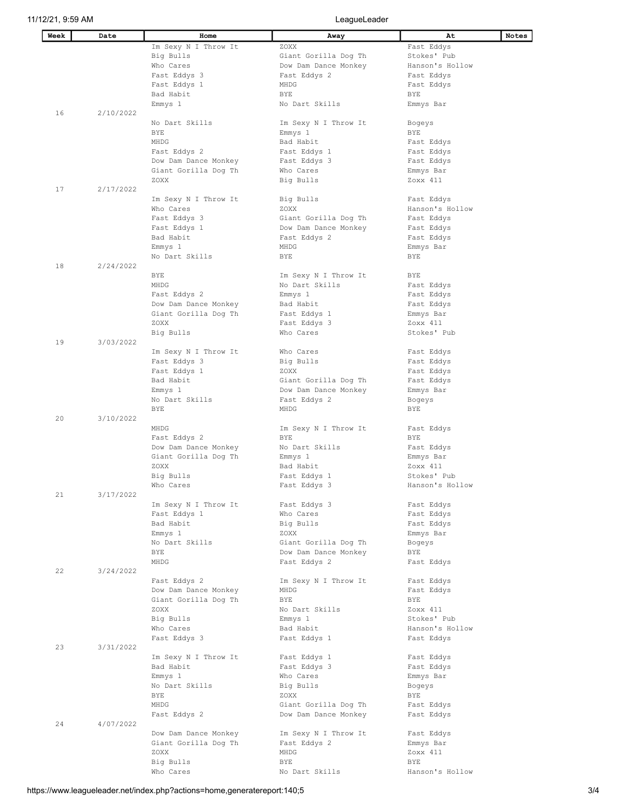| Week | Date      | Home                                 | Away                 | At                      | Notes |
|------|-----------|--------------------------------------|----------------------|-------------------------|-------|
|      |           | Im Sexy N I Throw It                 | ZOXX                 | Fast Eddys              |       |
|      |           | Big Bulls                            | Giant Gorilla Dog Th | Stokes' Pub             |       |
|      |           | Who Cares                            | Dow Dam Dance Monkey | Hanson's Hollow         |       |
|      |           | Fast Eddys 3                         | Fast Eddys 2         | Fast Eddys              |       |
|      |           | Fast Eddys 1                         | MHDG                 | Fast Eddys              |       |
|      |           | Bad Habit                            | <b>BYE</b>           | BYE                     |       |
|      |           | Emmys 1                              | No Dart Skills       | Emmys Bar               |       |
| 16   | 2/10/2022 |                                      |                      |                         |       |
|      |           | No Dart Skills                       | Im Sexy N I Throw It | Bogeys                  |       |
|      |           | <b>BYE</b>                           | Emmys 1              | BYE                     |       |
|      |           | MHDG                                 | Bad Habit            | Fast Eddys              |       |
|      |           | Fast Eddys 2                         | Fast Eddys 1         | Fast Eddys              |       |
|      |           | Dow Dam Dance Monkey                 | Fast Eddys 3         | Fast Eddys              |       |
|      |           | Giant Gorilla Dog Th                 | Who Cares            | Emmys Bar               |       |
|      |           | ZOXX                                 | Big Bulls            | Zoxx 411                |       |
| 17   | 2/17/2022 |                                      |                      |                         |       |
|      |           | Im Sexy N I Throw It                 | Big Bulls            | Fast Eddys              |       |
|      |           | Who Cares                            | ZOXX                 | Hanson's Hollow         |       |
|      |           | Fast Eddys 3                         | Giant Gorilla Dog Th | Fast Eddys              |       |
|      |           | Fast Eddys 1                         | Dow Dam Dance Monkey | Fast Eddys              |       |
|      |           | Bad Habit                            | Fast Eddys 2         | Fast Eddys              |       |
|      |           | Emmys 1                              | MHDG                 | Emmys Bar               |       |
|      |           | No Dart Skills                       | BYE                  | BYE                     |       |
| 18   | 2/24/2022 |                                      |                      |                         |       |
|      |           | BYE                                  | Im Sexy N I Throw It | BYE                     |       |
|      |           | MHDG                                 | No Dart Skills       | Fast Eddys              |       |
|      |           |                                      |                      |                         |       |
|      |           | Fast Eddys 2<br>Dow Dam Dance Monkey | Emmys 1<br>Bad Habit | Fast Eddys              |       |
|      |           |                                      |                      | Fast Eddys              |       |
|      |           | Giant Gorilla Dog Th                 | Fast Eddys 1         | Emmys Bar               |       |
|      |           | ZOXX                                 | Fast Eddys 3         | Zoxx 411<br>Stokes' Pub |       |
| 19   | 3/03/2022 | Big Bulls                            | Who Cares            |                         |       |
|      |           | Im Sexy N I Throw It                 | Who Cares            | Fast Eddys              |       |
|      |           | Fast Eddys 3                         | Big Bulls            | Fast Eddys              |       |
|      |           | Fast Eddys 1                         | ZOXX                 | Fast Eddys              |       |
|      |           | Bad Habit                            | Giant Gorilla Dog Th | Fast Eddys              |       |
|      |           | Emmys 1                              | Dow Dam Dance Monkey | Emmys Bar               |       |
|      |           | No Dart Skills                       | Fast Eddys 2         | Bogeys                  |       |
|      |           | <b>BYE</b>                           | MHDG                 | <b>BYE</b>              |       |
| 20   | 3/10/2022 |                                      |                      |                         |       |
|      |           | MHDG                                 | Im Sexy N I Throw It | Fast Eddys              |       |
|      |           | Fast Eddys 2                         | BYE                  | BYE                     |       |
|      |           | Dow Dam Dance Monkey                 | No Dart Skills       | Fast Eddys              |       |
|      |           | Giant Gorilla Dog Th                 | Emmys 1              | Emmys Bar               |       |
|      |           | ZOXX                                 | Bad Habit            | Zoxx 411                |       |
|      |           | Big Bulls                            | Fast Eddys 1         | Stokes' Pub             |       |
|      |           | Who Cares                            | Fast Eddys 3         | Hanson's Hollow         |       |
| 21   | 3/17/2022 |                                      |                      |                         |       |
|      |           | Im Sexy N I Throw It                 | Fast Eddys 3         | Fast Eddys              |       |
|      |           | Fast Eddys 1                         | Who Cares            | Fast Eddys              |       |
|      |           | Bad Habit                            | Big Bulls            | Fast Eddys              |       |
|      |           | Emmys 1                              | ZOXX                 | Emmys Bar               |       |
|      |           | No Dart Skills                       | Giant Gorilla Dog Th | Bogeys                  |       |
|      |           | BYE                                  | Dow Dam Dance Monkey | BYE                     |       |
|      |           | MHDG                                 | Fast Eddys 2         | Fast Eddys              |       |
| 22   | 3/24/2022 |                                      |                      |                         |       |
|      |           | Fast Eddys 2                         | Im Sexy N I Throw It | Fast Eddys              |       |
|      |           | Dow Dam Dance Monkey                 | MHDG                 | Fast Eddys              |       |
|      |           | Giant Gorilla Dog Th                 | <b>BYE</b>           | BYE                     |       |
|      |           | ZOXX                                 | No Dart Skills       | Zoxx 411                |       |
|      |           | Big Bulls                            | Emmys 1              | Stokes' Pub             |       |
|      |           | Who Cares                            | Bad Habit            | Hanson's Hollow         |       |
|      |           | Fast Eddys 3                         | Fast Eddys 1         | Fast Eddys              |       |
| 23   | 3/31/2022 |                                      |                      |                         |       |
|      |           | Im Sexy N I Throw It                 | Fast Eddys 1         | Fast Eddys              |       |
|      |           | Bad Habit                            | Fast Eddys 3         | Fast Eddys              |       |
|      |           | Emmys 1                              | Who Cares            | Emmys Bar               |       |
|      |           | No Dart Skills                       | Big Bulls            | Bogeys                  |       |
|      |           | BYE                                  | ZOXX                 | BYE                     |       |
|      |           | MHDG                                 | Giant Gorilla Dog Th | Fast Eddys              |       |
|      |           | Fast Eddys 2                         | Dow Dam Dance Monkey | Fast Eddys              |       |
| 24   | 4/07/2022 |                                      |                      |                         |       |
|      |           | Dow Dam Dance Monkey                 | Im Sexy N I Throw It | Fast Eddys              |       |
|      |           | Giant Gorilla Dog Th                 | Fast Eddys 2         | Emmys Bar               |       |
|      |           | ZOXX                                 | MHDG                 | Zoxx 411                |       |
|      |           | Big Bulls                            | BYE                  | BYE                     |       |
|      |           | Who Cares                            | No Dart Skills       | Hanson's Hollow         |       |